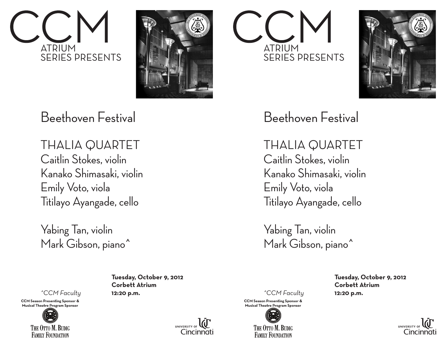



## Beethoven Festival

THALIA QUARTET Caitlin Stokes, violin Kanako Shimasaki, violin Emily Voto, viola Titilayo Ayangade, cello

Yabing Tan, violin Mark Gibson, piano^

*^CCM Faculty* **12:20 p.m.**

**CCM Season Presenting Sponsor & Musical Theatre Program Sponsor** 



**Tuesday, October 9, 2012 Corbett Atrium**